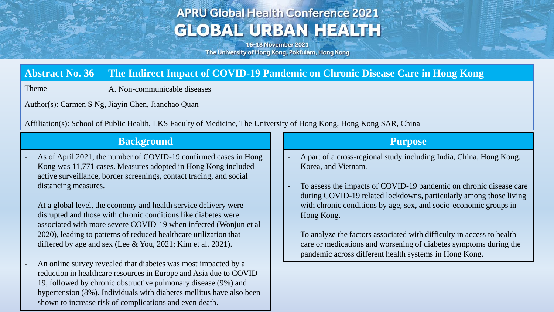# **APRU Global Health Conference 2021 GLOBAL URBAN HEALTH**

16-18 November 2021 The University of Hong Kong, Pokfulam, Hong Kong

# **Abstract No. 36 The Indirect Impact of COVID-19 Pandemic on Chronic Disease Care in Hong Kong**

Theme A. Non-communicable diseases

Author(s): Carmen S Ng, Jiayin Chen, Jianchao Quan

Affiliation(s): School of Public Health, LKS Faculty of Medicine, The University of Hong Kong, Hong Kong SAR, China

#### **Background**

- As of April 2021, the number of COVID-19 confirmed cases in Hong Kong was 11,771 cases. Measures adopted in Hong Kong included active surveillance, border screenings, contact tracing, and social distancing measures.
- At a global level, the economy and health service delivery were disrupted and those with chronic conditions like diabetes were associated with more severe COVID-19 when infected (Wonjun et al 2020), leading to patterns of reduced healthcare utilization that differed by age and sex (Lee & You, 2021; Kim et al. 2021).
- An online survey revealed that diabetes was most impacted by a reduction in healthcare resources in Europe and Asia due to COVID-19, followed by chronic obstructive pulmonary disease (9%) and hypertension (8%). Individuals with diabetes mellitus have also been shown to increase risk of complications and even death.

#### **Purpose**

- A part of a cross-regional study including India, China, Hong Kong, Korea, and Vietnam.
- To assess the impacts of COVID-19 pandemic on chronic disease care during COVID-19 related lockdowns, particularly among those living with chronic conditions by age, sex, and socio-economic groups in Hong Kong.
- To analyze the factors associated with difficulty in access to health care or medications and worsening of diabetes symptoms during the pandemic across different health systems in Hong Kong.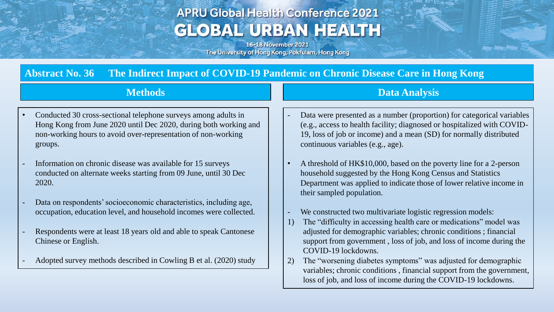# **APRU Global Health Conference 2021 GLOBAL URBAN HEALTH**

16-18 November 2021 The University of Hong Kong, Pokfulam, Hong Kong

# **Abstract No. 36 The Indirect Impact of COVID-19 Pandemic on Chronic Disease Care in Hong Kong**

### **Methods**

- Conducted 30 cross-sectional telephone surveys among adults in Hong Kong from June 2020 until Dec 2020, during both working and non-working hours to avoid over-representation of non-working groups.
- Information on chronic disease was available for 15 surveys conducted on alternate weeks starting from 09 June, until 30 Dec 2020.
- Data on respondents' socioeconomic characteristics, including age, occupation, education level, and household incomes were collected.
- Respondents were at least 18 years old and able to speak Cantonese Chinese or English.
- Adopted survey methods described in Cowling B et al. (2020) study

# **Data Analysis**

- Data were presented as a number (proportion) for categorical variables (e.g., access to health facility; diagnosed or hospitalized with COVID-19, loss of job or income) and a mean (SD) for normally distributed continuous variables (e.g., age).
- A threshold of HK\$10,000, based on the poverty line for a 2-person household suggested by the Hong Kong Census and Statistics Department was applied to indicate those of lower relative income in their sampled population.
- We constructed two multivariate logistic regression models:
- 1) The "difficulty in accessing health care or medications" model was adjusted for demographic variables; chronic conditions ; financial support from government , loss of job, and loss of income during the COVID-19 lockdowns.
- 2) The "worsening diabetes symptoms" was adjusted for demographic variables; chronic conditions , financial support from the government, loss of job, and loss of income during the COVID-19 lockdowns.